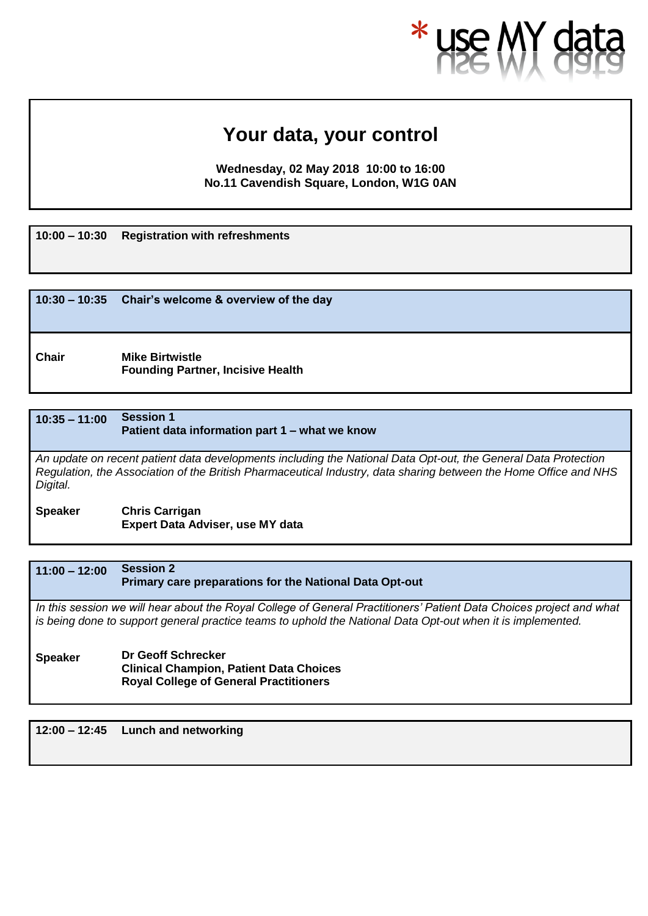# **Your data, your control**

**Wednesday, 02 May 2018, 10:00 to 16:00 No.11 Cavendish Square, London, W1G 0AN**

**10:00 – 10:30 Registration with refreshments**

|              | $10:30 - 10:35$ Chair's welcome & overview of the day              |
|--------------|--------------------------------------------------------------------|
| <b>Chair</b> | <b>Mike Birtwistle</b><br><b>Founding Partner, Incisive Health</b> |

# **10:35 – 11:00 Session 1 Patient data information part 1 – what we know** *An update on recent patient data developments including the National Data Opt-out, the General Data Protection Regulation, the Association of the British Pharmaceutical Industry, data sharing between the Home Office and NHS Digital.*

**Speaker Chris Carrigan Expert Data Adviser, use MY data**

**11:00 – 12:00 Session 2 Primary care preparations for the National Data Opt-out**

*In this session we will hear about the Royal College of General Practitioners' Patient Data Choices project and what is being done to support general practice teams to uphold the National Data Opt-out when it is implemented.*

**Speaker Dr Geoff Schrecker Clinical Champion, Patient Data Choices Royal College of General Practitioners**

**12:00 – 12:45 Lunch and networking**